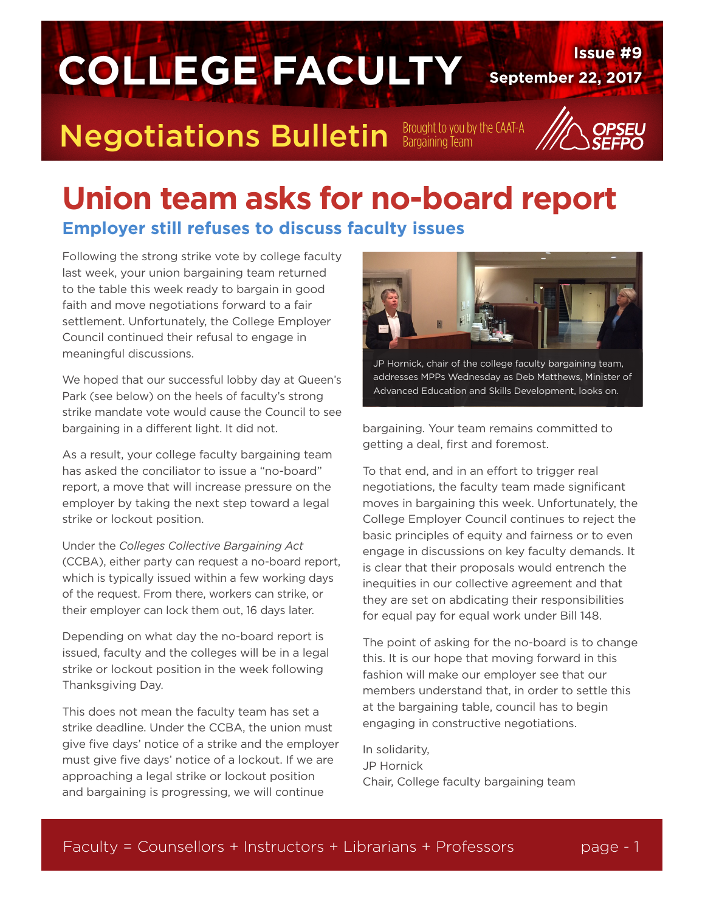

#### **Union team asks for no-board report Employer still refuses to discuss faculty issues**

Following the strong strike vote by college faculty last week, your union bargaining team returned to the table this week ready to bargain in good faith and move negotiations forward to a fair settlement. Unfortunately, the College Employer Council continued their refusal to engage in meaningful discussions.

We hoped that our successful lobby day at Queen's Park (see below) on the heels of faculty's strong strike mandate vote would cause the Council to see bargaining in a different light. It did not.

As a result, your college faculty bargaining team has asked the conciliator to issue a "no-board" report, a move that will increase pressure on the employer by taking the next step toward a legal strike or lockout position.

Under the *Colleges Collective Bargaining Act* (CCBA), either party can request a no-board report, which is typically issued within a few working days of the request. From there, workers can strike, or their employer can lock them out, 16 days later.

Depending on what day the no-board report is issued, faculty and the colleges will be in a legal strike or lockout position in the week following Thanksgiving Day.

This does not mean the faculty team has set a strike deadline. Under the CCBA, the union must give five days' notice of a strike and the employer must give five days' notice of a lockout. If we are approaching a legal strike or lockout position and bargaining is progressing, we will continue



JP Hornick, chair of the college faculty bargaining team, addresses MPPs Wednesday as Deb Matthews, Minister of Advanced Education and Skills Development, looks on.

bargaining. Your team remains committed to getting a deal, first and foremost.

To that end, and in an effort to trigger real negotiations, the faculty team made significant moves in bargaining this week. Unfortunately, the College Employer Council continues to reject the basic principles of equity and fairness or to even engage in discussions on key faculty demands. It is clear that their proposals would entrench the inequities in our collective agreement and that they are set on abdicating their responsibilities for equal pay for equal work under Bill 148.

The point of asking for the no-board is to change this. It is our hope that moving forward in this fashion will make our employer see that our members understand that, in order to settle this at the bargaining table, council has to begin engaging in constructive negotiations.

In solidarity, JP Hornick Chair, College faculty bargaining team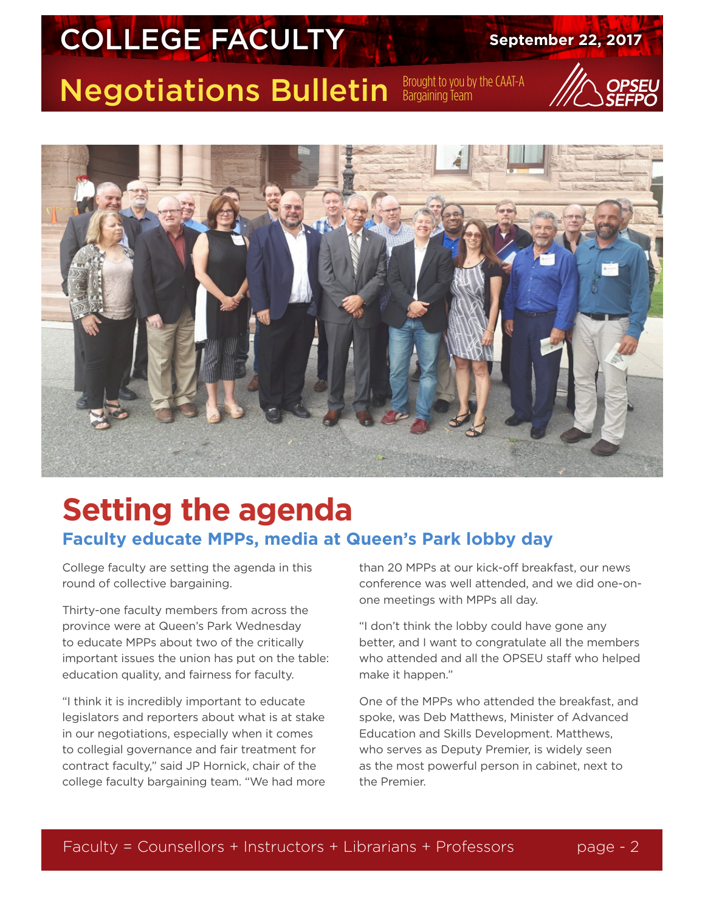# **COLLEGE FACULTY** September 22, 2017

Negotiations Bulletin Brought to you by the CAAT-A



### **Setting the agenda Faculty educate MPPs, media at Queen's Park lobby day**

College faculty are setting the agenda in this round of collective bargaining.

Thirty-one faculty members from across the province were at Queen's Park Wednesday to educate MPPs about two of the critically important issues the union has put on the table: education quality, and fairness for faculty.

"I think it is incredibly important to educate legislators and reporters about what is at stake in our negotiations, especially when it comes to collegial governance and fair treatment for contract faculty," said JP Hornick, chair of the college faculty bargaining team. "We had more than 20 MPPs at our kick-off breakfast, our news conference was well attended, and we did one-onone meetings with MPPs all day.

"I don't think the lobby could have gone any better, and I want to congratulate all the members who attended and all the OPSEU staff who helped make it happen."

One of the MPPs who attended the breakfast, and spoke, was Deb Matthews, Minister of Advanced Education and Skills Development. Matthews, who serves as Deputy Premier, is widely seen as the most powerful person in cabinet, next to the Premier.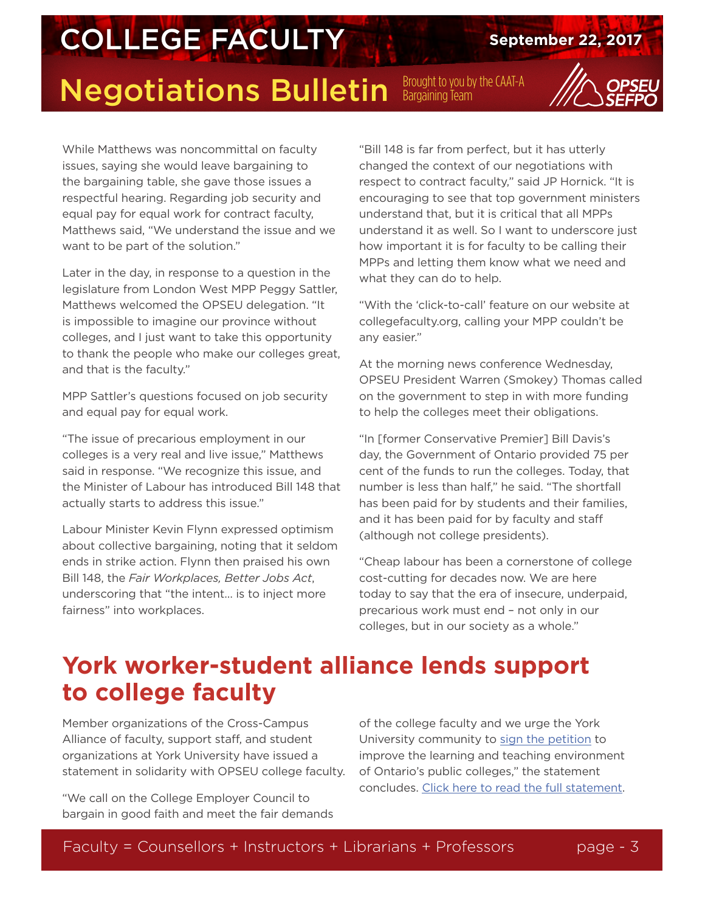### **COLLEGE FACULTY** September 22, 2017

### Negotiations Bulletin Brought to you by the CAAT-A

While Matthews was noncommittal on faculty issues, saying she would leave bargaining to the bargaining table, she gave those issues a respectful hearing. Regarding job security and equal pay for equal work for contract faculty, Matthews said, "We understand the issue and we want to be part of the solution."

Later in the day, in response to a question in the legislature from London West MPP Peggy Sattler, Matthews welcomed the OPSEU delegation. "It is impossible to imagine our province without colleges, and I just want to take this opportunity to thank the people who make our colleges great, and that is the faculty."

MPP Sattler's questions focused on job security and equal pay for equal work.

"The issue of precarious employment in our colleges is a very real and live issue," Matthews said in response. "We recognize this issue, and the Minister of Labour has introduced Bill 148 that actually starts to address this issue."

Labour Minister Kevin Flynn expressed optimism about collective bargaining, noting that it seldom ends in strike action. Flynn then praised his own Bill 148, the *Fair Workplaces, Better Jobs Act*, underscoring that "the intent… is to inject more fairness" into workplaces.

"Bill 148 is far from perfect, but it has utterly changed the context of our negotiations with respect to contract faculty," said JP Hornick. "It is encouraging to see that top government ministers understand that, but it is critical that all MPPs understand it as well. So I want to underscore just how important it is for faculty to be calling their MPPs and letting them know what we need and what they can do to help.

"With the 'click-to-call' feature on our website at collegefaculty.org, calling your MPP couldn't be any easier."

At the morning news conference Wednesday, OPSEU President Warren (Smokey) Thomas called on the government to step in with more funding to help the colleges meet their obligations.

"In [former Conservative Premier] Bill Davis's day, the Government of Ontario provided 75 per cent of the funds to run the colleges. Today, that number is less than half," he said. "The shortfall has been paid for by students and their families, and it has been paid for by faculty and staff (although not college presidents).

"Cheap labour has been a cornerstone of college cost-cutting for decades now. We are here today to say that the era of insecure, underpaid, precarious work must end – not only in our colleges, but in our society as a whole."

#### **York worker-student alliance lends support to college faculty**

Member organizations of the Cross-Campus Alliance of faculty, support staff, and student organizations at York University have issued a statement in solidarity with OPSEU college faculty.

"We call on the College Employer Council to bargain in good faith and meet the fair demands

of the college faculty and we urge the York University community to [sign the petition](http://www.collegefaculty.org/petition) to improve the learning and teaching environment of Ontario's public colleges," the statement concludes. [Click here to read the full statement.](http://www.newswire.ca/news-releases/york-university-unions-support-ontario-college-faculty-members-in-bargaining-646160973.html)